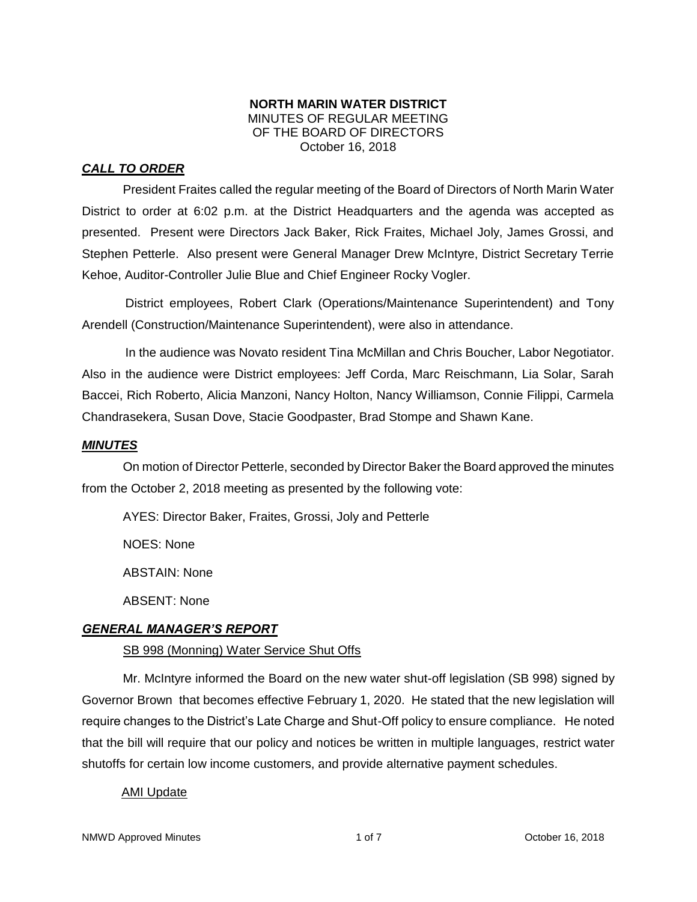#### **NORTH MARIN WATER DISTRICT** MINUTES OF REGULAR MEETING OF THE BOARD OF DIRECTORS October 16, 2018

## *CALL TO ORDER*

President Fraites called the regular meeting of the Board of Directors of North Marin Water District to order at 6:02 p.m. at the District Headquarters and the agenda was accepted as presented. Present were Directors Jack Baker, Rick Fraites, Michael Joly, James Grossi, and Stephen Petterle. Also present were General Manager Drew McIntyre, District Secretary Terrie Kehoe, Auditor-Controller Julie Blue and Chief Engineer Rocky Vogler.

District employees, Robert Clark (Operations/Maintenance Superintendent) and Tony Arendell (Construction/Maintenance Superintendent), were also in attendance.

In the audience was Novato resident Tina McMillan and Chris Boucher, Labor Negotiator. Also in the audience were District employees: Jeff Corda, Marc Reischmann, Lia Solar, Sarah Baccei, Rich Roberto, Alicia Manzoni, Nancy Holton, Nancy Williamson, Connie Filippi, Carmela Chandrasekera, Susan Dove, Stacie Goodpaster, Brad Stompe and Shawn Kane.

#### *MINUTES*

On motion of Director Petterle, seconded by Director Baker the Board approved the minutes from the October 2, 2018 meeting as presented by the following vote:

AYES: Director Baker, Fraites, Grossi, Joly and Petterle

NOES: None

ABSTAIN: None

ABSENT: None

## *GENERAL MANAGER'S REPORT*

#### SB 998 (Monning) Water Service Shut Offs

Mr. McIntyre informed the Board on the new water shut-off legislation (SB 998) signed by Governor Brown that becomes effective February 1, 2020. He stated that the new legislation will require changes to the District's Late Charge and Shut-Off policy to ensure compliance. He noted that the bill will require that our policy and notices be written in multiple languages, restrict water shutoffs for certain low income customers, and provide alternative payment schedules.

#### AMI Update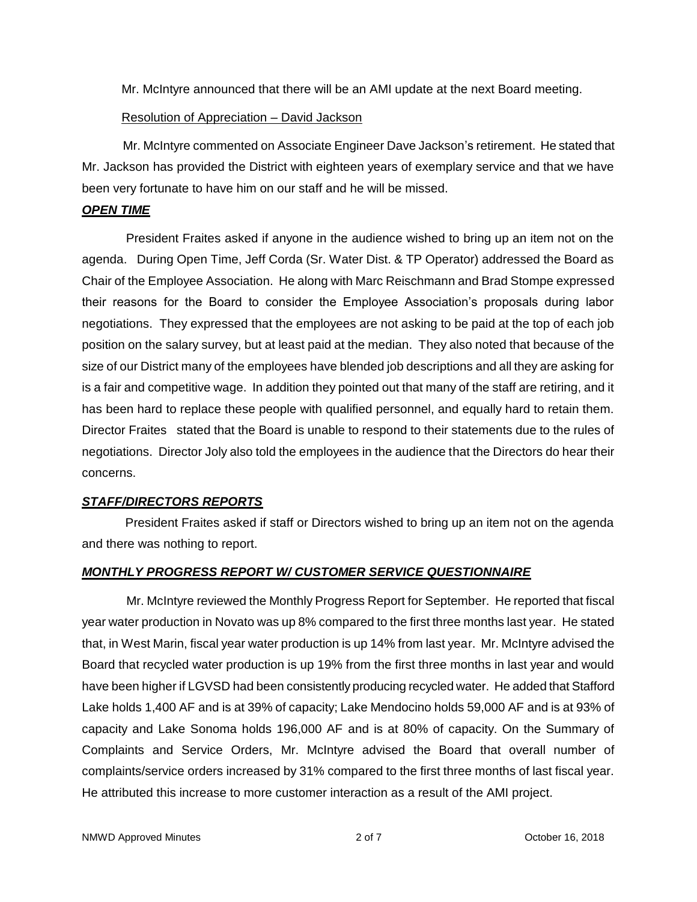Mr. McIntyre announced that there will be an AMI update at the next Board meeting.

## Resolution of Appreciation – David Jackson

Mr. McIntyre commented on Associate Engineer Dave Jackson's retirement. He stated that Mr. Jackson has provided the District with eighteen years of exemplary service and that we have been very fortunate to have him on our staff and he will be missed.

## *OPEN TIME*

President Fraites asked if anyone in the audience wished to bring up an item not on the agenda. During Open Time, Jeff Corda (Sr. Water Dist. & TP Operator) addressed the Board as Chair of the Employee Association. He along with Marc Reischmann and Brad Stompe expressed their reasons for the Board to consider the Employee Association's proposals during labor negotiations. They expressed that the employees are not asking to be paid at the top of each job position on the salary survey, but at least paid at the median. They also noted that because of the size of our District many of the employees have blended job descriptions and all they are asking for is a fair and competitive wage. In addition they pointed out that many of the staff are retiring, and it has been hard to replace these people with qualified personnel, and equally hard to retain them. Director Fraites stated that the Board is unable to respond to their statements due to the rules of negotiations. Director Joly also told the employees in the audience that the Directors do hear their concerns.

## *STAFF/DIRECTORS REPORTS*

President Fraites asked if staff or Directors wished to bring up an item not on the agenda and there was nothing to report.

# *MONTHLY PROGRESS REPORT W/ CUSTOMER SERVICE QUESTIONNAIRE*

Mr. McIntyre reviewed the Monthly Progress Report for September. He reported that fiscal year water production in Novato was up 8% compared to the first three months last year. He stated that, in West Marin, fiscal year water production is up 14% from last year. Mr. McIntyre advised the Board that recycled water production is up 19% from the first three months in last year and would have been higher if LGVSD had been consistently producing recycled water. He added that Stafford Lake holds 1,400 AF and is at 39% of capacity; Lake Mendocino holds 59,000 AF and is at 93% of capacity and Lake Sonoma holds 196,000 AF and is at 80% of capacity. On the Summary of Complaints and Service Orders, Mr. McIntyre advised the Board that overall number of complaints/service orders increased by 31% compared to the first three months of last fiscal year. He attributed this increase to more customer interaction as a result of the AMI project.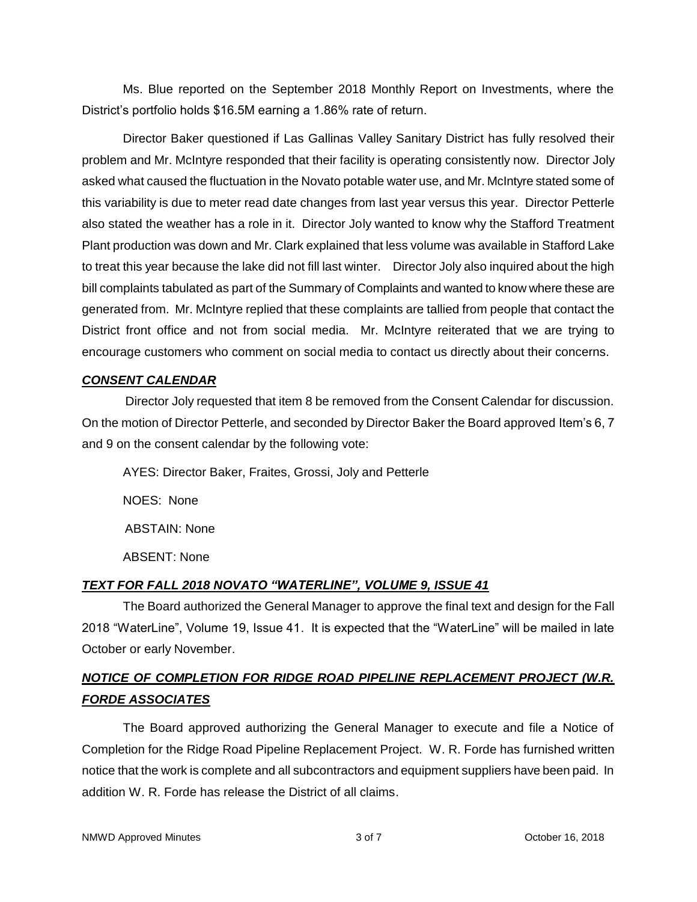Ms. Blue reported on the September 2018 Monthly Report on Investments, where the District's portfolio holds \$16.5M earning a 1.86% rate of return.

Director Baker questioned if Las Gallinas Valley Sanitary District has fully resolved their problem and Mr. McIntyre responded that their facility is operating consistently now. Director Joly asked what caused the fluctuation in the Novato potable water use, and Mr. McIntyre stated some of this variability is due to meter read date changes from last year versus this year. Director Petterle also stated the weather has a role in it. Director Joly wanted to know why the Stafford Treatment Plant production was down and Mr. Clark explained that less volume was available in Stafford Lake to treat this year because the lake did not fill last winter. Director Joly also inquired about the high bill complaints tabulated as part of the Summary of Complaints and wanted to know where these are generated from. Mr. McIntyre replied that these complaints are tallied from people that contact the District front office and not from social media. Mr. McIntyre reiterated that we are trying to encourage customers who comment on social media to contact us directly about their concerns.

## *CONSENT CALENDAR*

Director Joly requested that item 8 be removed from the Consent Calendar for discussion. On the motion of Director Petterle, and seconded by Director Baker the Board approved Item's 6, 7 and 9 on the consent calendar by the following vote:

AYES: Director Baker, Fraites, Grossi, Joly and Petterle NOES: None ABSTAIN: None ABSENT: None

## *TEXT FOR FALL 2018 NOVATO "WATERLINE", VOLUME 9, ISSUE 41*

The Board authorized the General Manager to approve the final text and design for the Fall 2018 "WaterLine", Volume 19, Issue 41. It is expected that the "WaterLine" will be mailed in late October or early November.

# *NOTICE OF COMPLETION FOR RIDGE ROAD PIPELINE REPLACEMENT PROJECT (W.R. FORDE ASSOCIATES*

The Board approved authorizing the General Manager to execute and file a Notice of Completion for the Ridge Road Pipeline Replacement Project. W. R. Forde has furnished written notice that the work is complete and all subcontractors and equipment suppliers have been paid. In addition W. R. Forde has release the District of all claims.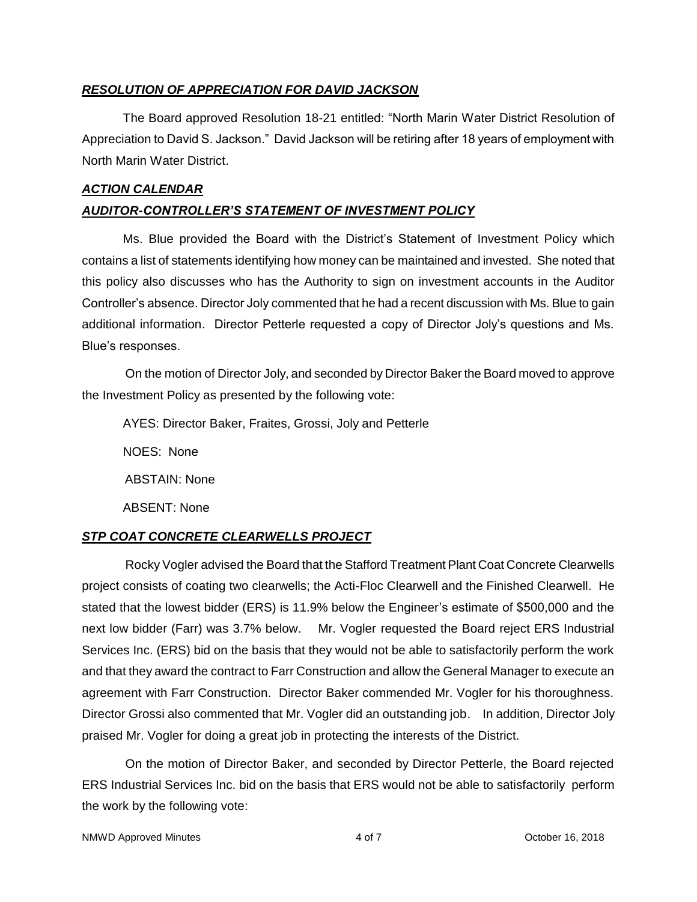#### *RESOLUTION OF APPRECIATION FOR DAVID JACKSON*

The Board approved Resolution 18-21 entitled: "North Marin Water District Resolution of Appreciation to David S. Jackson." David Jackson will be retiring after 18 years of employment with North Marin Water District.

# *ACTION CALENDAR AUDITOR-CONTROLLER'S STATEMENT OF INVESTMENT POLICY*

Ms. Blue provided the Board with the District's Statement of Investment Policy which contains a list of statements identifying how money can be maintained and invested. She noted that this policy also discusses who has the Authority to sign on investment accounts in the Auditor Controller's absence. Director Joly commented that he had a recent discussion with Ms. Blue to gain additional information. Director Petterle requested a copy of Director Joly's questions and Ms. Blue's responses.

On the motion of Director Joly, and seconded by Director Baker the Board moved to approve the Investment Policy as presented by the following vote:

AYES: Director Baker, Fraites, Grossi, Joly and Petterle

NOES: None

ABSTAIN: None

ABSENT: None

## *STP COAT CONCRETE CLEARWELLS PROJECT*

Rocky Vogler advised the Board that the Stafford Treatment Plant Coat Concrete Clearwells project consists of coating two clearwells; the Acti-Floc Clearwell and the Finished Clearwell. He stated that the lowest bidder (ERS) is 11.9% below the Engineer's estimate of \$500,000 and the next low bidder (Farr) was 3.7% below. Mr. Vogler requested the Board reject ERS Industrial Services Inc. (ERS) bid on the basis that they would not be able to satisfactorily perform the work and that they award the contract to Farr Construction and allow the General Manager to execute an agreement with Farr Construction. Director Baker commended Mr. Vogler for his thoroughness. Director Grossi also commented that Mr. Vogler did an outstanding job. In addition, Director Joly praised Mr. Vogler for doing a great job in protecting the interests of the District.

On the motion of Director Baker, and seconded by Director Petterle, the Board rejected ERS Industrial Services Inc. bid on the basis that ERS would not be able to satisfactorily perform the work by the following vote: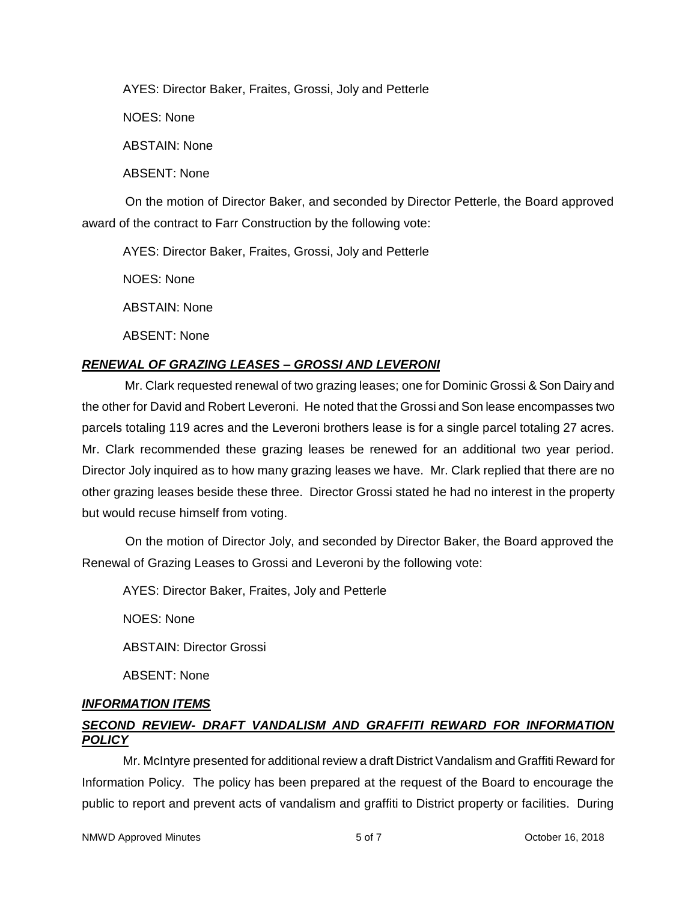AYES: Director Baker, Fraites, Grossi, Joly and Petterle

NOES: None

ABSTAIN: None

ABSENT: None

On the motion of Director Baker, and seconded by Director Petterle, the Board approved award of the contract to Farr Construction by the following vote:

AYES: Director Baker, Fraites, Grossi, Joly and Petterle

NOES: None

ABSTAIN: None

ABSENT: None

## *RENEWAL OF GRAZING LEASES – GROSSI AND LEVERONI*

Mr. Clark requested renewal of two grazing leases; one for Dominic Grossi & Son Dairy and the other for David and Robert Leveroni. He noted that the Grossi and Son lease encompasses two parcels totaling 119 acres and the Leveroni brothers lease is for a single parcel totaling 27 acres. Mr. Clark recommended these grazing leases be renewed for an additional two year period. Director Joly inquired as to how many grazing leases we have. Mr. Clark replied that there are no other grazing leases beside these three. Director Grossi stated he had no interest in the property but would recuse himself from voting.

On the motion of Director Joly, and seconded by Director Baker, the Board approved the Renewal of Grazing Leases to Grossi and Leveroni by the following vote:

AYES: Director Baker, Fraites, Joly and Petterle

NOES: None

ABSTAIN: Director Grossi

ABSENT: None

## *INFORMATION ITEMS*

## *SECOND REVIEW- DRAFT VANDALISM AND GRAFFITI REWARD FOR INFORMATION POLICY*

Mr. McIntyre presented for additional review a draft District Vandalism and Graffiti Reward for Information Policy. The policy has been prepared at the request of the Board to encourage the public to report and prevent acts of vandalism and graffiti to District property or facilities. During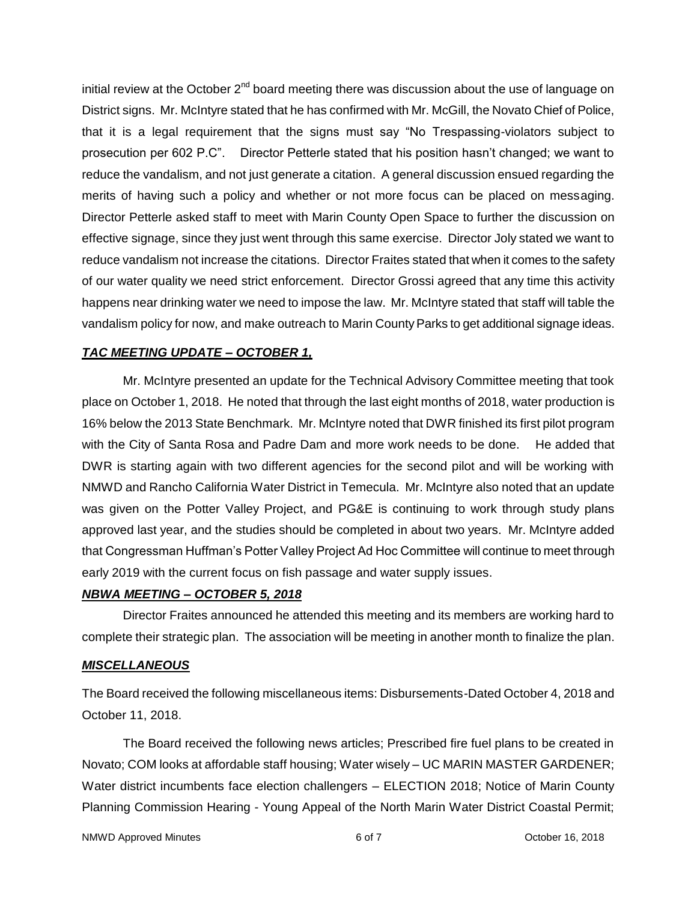initial review at the October  $2<sup>nd</sup>$  board meeting there was discussion about the use of language on District signs. Mr. McIntyre stated that he has confirmed with Mr. McGill, the Novato Chief of Police, that it is a legal requirement that the signs must say "No Trespassing-violators subject to prosecution per 602 P.C". Director Petterle stated that his position hasn't changed; we want to reduce the vandalism, and not just generate a citation. A general discussion ensued regarding the merits of having such a policy and whether or not more focus can be placed on messaging. Director Petterle asked staff to meet with Marin County Open Space to further the discussion on effective signage, since they just went through this same exercise. Director Joly stated we want to reduce vandalism not increase the citations. Director Fraites stated that when it comes to the safety of our water quality we need strict enforcement. Director Grossi agreed that any time this activity happens near drinking water we need to impose the law. Mr. McIntyre stated that staff will table the vandalism policy for now, and make outreach to Marin County Parks to get additional signage ideas.

#### *TAC MEETING UPDATE – OCTOBER 1,*

Mr. McIntyre presented an update for the Technical Advisory Committee meeting that took place on October 1, 2018. He noted that through the last eight months of 2018, water production is 16% below the 2013 State Benchmark. Mr. McIntyre noted that DWR finished its first pilot program with the City of Santa Rosa and Padre Dam and more work needs to be done. He added that DWR is starting again with two different agencies for the second pilot and will be working with NMWD and Rancho California Water District in Temecula. Mr. McIntyre also noted that an update was given on the Potter Valley Project, and PG&E is continuing to work through study plans approved last year, and the studies should be completed in about two years. Mr. McIntyre added that Congressman Huffman's Potter Valley Project Ad Hoc Committee will continue to meet through early 2019 with the current focus on fish passage and water supply issues.

#### *NBWA MEETING – OCTOBER 5, 2018*

Director Fraites announced he attended this meeting and its members are working hard to complete their strategic plan. The association will be meeting in another month to finalize the plan.

#### *MISCELLANEOUS*

The Board received the following miscellaneous items: Disbursements-Dated October 4, 2018 and October 11, 2018.

The Board received the following news articles; Prescribed fire fuel plans to be created in Novato; COM looks at affordable staff housing; Water wisely – UC MARIN MASTER GARDENER; Water district incumbents face election challengers – ELECTION 2018; Notice of Marin County Planning Commission Hearing - Young Appeal of the North Marin Water District Coastal Permit;

NMWD Approved Minutes and the control of the control of 6 of 7 Corolection Corolectus Corolectus Corolectus Corolectus Corolectus Corolectus Corolectus Corolectus Corolectus Corolectus Corolectus Corolectus Corolectus Coro